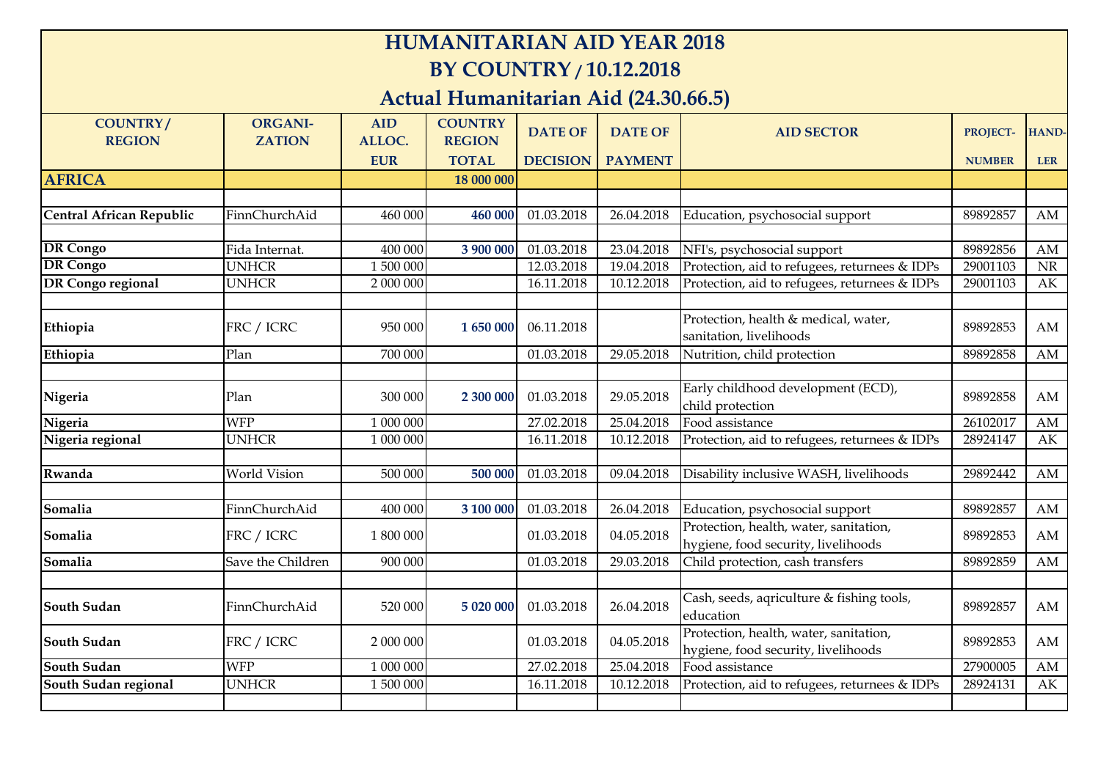## **HUMANITARIAN AID YEAR 2018 BY COUNTRY / 10.12.2018**

## **Actual Humanitarian Aid (24.30.66.5)**

| <b>COUNTRY/</b><br><b>REGION</b> | <b>ORGANI-</b><br><b>ZATION</b> | <b>AID</b><br>ALLOC. | <b>COUNTRY</b><br><b>REGION</b> | <b>DATE OF</b>          | <b>DATE OF</b> | <b>AID SECTOR</b>                                                             | <b>PROJECT-</b> | HAND-      |
|----------------------------------|---------------------------------|----------------------|---------------------------------|-------------------------|----------------|-------------------------------------------------------------------------------|-----------------|------------|
|                                  |                                 | <b>EUR</b>           | <b>TOTAL</b>                    | <b>DECISION</b>         | <b>PAYMENT</b> |                                                                               | <b>NUMBER</b>   | <b>LER</b> |
| <b>AFRICA</b>                    |                                 |                      | 18 000 000                      |                         |                |                                                                               |                 |            |
|                                  |                                 |                      |                                 |                         |                |                                                                               |                 |            |
| Central African Republic         | FinnChurchAid                   | 460 000              | 460 000                         | 01.03.2018              | 26.04.2018     | Education, psychosocial support                                               | 89892857        | AM         |
|                                  |                                 |                      |                                 |                         |                |                                                                               |                 |            |
| <b>DR</b> Congo                  | Fida Internat.                  | 400 000              | 3 900 000                       | 01.03.2018              | 23.04.2018     | NFI's, psychosocial support                                                   | 89892856        | AM         |
| <b>DR</b> Congo                  | <b>UNHCR</b>                    | 1 500 000            |                                 | 12.03.2018              | 19.04.2018     | Protection, aid to refugees, returnees & IDPs                                 | 29001103        | <b>NR</b>  |
| <b>DR</b> Congo regional         | <b>UNHCR</b>                    | 2 000 000            |                                 | 16.11.2018              | 10.12.2018     | Protection, aid to refugees, returnees & IDPs                                 | 29001103        | AK         |
| Ethiopia                         | FRC / ICRC                      | 950 000              | 1 650 000                       | 06.11.2018              |                | Protection, health & medical, water,<br>sanitation, livelihoods               | 89892853        | AM         |
| Ethiopia                         | Plan                            | 700 000              |                                 | 01.03.2018              | 29.05.2018     | Nutrition, child protection                                                   | 89892858        | AM         |
|                                  |                                 |                      |                                 |                         |                |                                                                               |                 |            |
| Nigeria                          | Plan                            | 300 000              | 2 300 000                       | 01.03.2018              | 29.05.2018     | Early childhood development (ECD),<br>child protection                        | 89892858        | AM         |
| Nigeria                          | <b>WFP</b>                      | 1 000 000            |                                 | 27.02.2018              | 25.04.2018     | Food assistance                                                               | 26102017        | AM         |
| Nigeria regional                 | <b>UNHCR</b>                    | 1 000 000            |                                 | 16.11.2018              | 10.12.2018     | Protection, aid to refugees, returnees & IDPs                                 | 28924147        | AK         |
|                                  |                                 |                      |                                 |                         |                |                                                                               |                 |            |
| Rwanda                           | World Vision                    | 500 000              | 500 000                         | $\overline{01.03.2018}$ | 09.04.2018     | Disability inclusive WASH, livelihoods                                        | 29892442        | AM         |
|                                  |                                 |                      |                                 |                         |                |                                                                               |                 |            |
| Somalia                          | FinnChurchAid                   | 400 000              | 3 100 000                       | 01.03.2018              | 26.04.2018     | Education, psychosocial support                                               | 89892857        | AM         |
| Somalia                          | FRC / ICRC                      | 1 800 000            |                                 | 01.03.2018              | 04.05.2018     | Protection, health, water, sanitation,<br>hygiene, food security, livelihoods | 89892853        | AM         |
| Somalia                          | Save the Children               | 900 000              |                                 | 01.03.2018              | 29.03.2018     | Child protection, cash transfers                                              | 89892859        | AM         |
|                                  |                                 |                      |                                 |                         |                |                                                                               |                 |            |
| <b>South Sudan</b>               | FinnChurchAid                   | 520 000              | 5 020 000                       | 01.03.2018              | 26.04.2018     | Cash, seeds, aqriculture & fishing tools,<br>education                        | 89892857        | AM         |
| <b>South Sudan</b>               | FRC / ICRC                      | 2 000 000            |                                 | 01.03.2018              | 04.05.2018     | Protection, health, water, sanitation,<br>hygiene, food security, livelihoods | 89892853        | AM         |
| <b>South Sudan</b>               | <b>WFP</b>                      | 1 000 000            |                                 | 27.02.2018              | 25.04.2018     | Food assistance                                                               | 27900005        | AM         |
| South Sudan regional             | <b>UNHCR</b>                    | 1 500 000            |                                 | 16.11.2018              | 10.12.2018     | Protection, aid to refugees, returnees & IDPs                                 | 28924131        | AK         |
|                                  |                                 |                      |                                 |                         |                |                                                                               |                 |            |
|                                  |                                 |                      |                                 |                         |                |                                                                               |                 |            |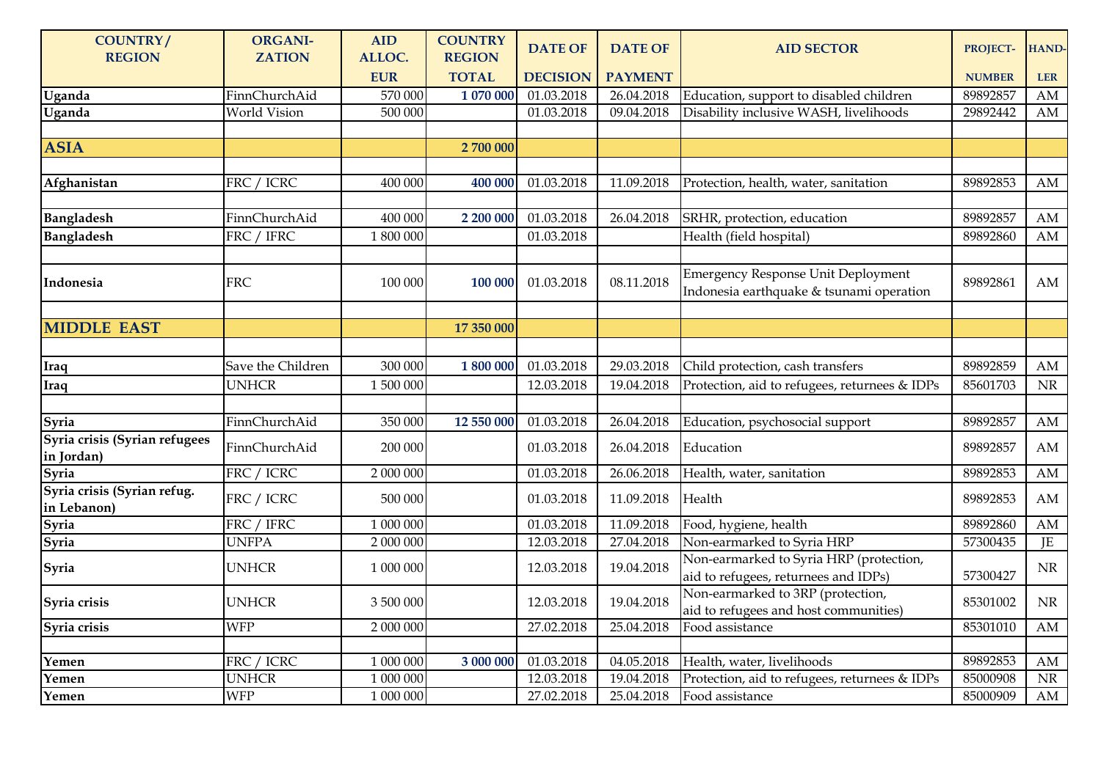| <b>COUNTRY/</b><br><b>REGION</b>            | <b>ORGANI-</b><br><b>ZATION</b> | <b>AID</b><br>ALLOC. | <b>COUNTRY</b><br><b>REGION</b> | <b>DATE OF</b>  | <b>DATE OF</b> | <b>AID SECTOR</b>                                                                     | <b>PROJECT-</b> | HAND-      |
|---------------------------------------------|---------------------------------|----------------------|---------------------------------|-----------------|----------------|---------------------------------------------------------------------------------------|-----------------|------------|
|                                             |                                 | <b>EUR</b>           | <b>TOTAL</b>                    | <b>DECISION</b> | <b>PAYMENT</b> |                                                                                       | <b>NUMBER</b>   | <b>LER</b> |
| Uganda                                      | FinnChurchAid                   | 570 000              | 1 070 000                       | 01.03.2018      | 26.04.2018     | Education, support to disabled children                                               | 89892857        | AM         |
| Uganda                                      | World Vision                    | $\overline{500000}$  |                                 | 01.03.2018      | 09.04.2018     | Disability inclusive WASH, livelihoods                                                | 29892442        | AM         |
|                                             |                                 |                      |                                 |                 |                |                                                                                       |                 |            |
| <b>ASIA</b>                                 |                                 |                      | 2 700 000                       |                 |                |                                                                                       |                 |            |
|                                             |                                 |                      |                                 |                 |                |                                                                                       |                 |            |
| Afghanistan                                 | FRC / ICRC                      | 400 000              | 400 000                         | 01.03.2018      | 11.09.2018     | Protection, health, water, sanitation                                                 | 89892853        | AM         |
| <b>Bangladesh</b>                           | FinnChurchAid                   | 400 000              | 2 200 000                       | 01.03.2018      | 26.04.2018     | SRHR, protection, education                                                           | 89892857        | AM         |
| <b>Bangladesh</b>                           | FRC / IFRC                      | 1 800 000            |                                 | 01.03.2018      |                | Health (field hospital)                                                               | 89892860        | AM         |
|                                             |                                 |                      |                                 |                 |                |                                                                                       |                 |            |
| Indonesia                                   | <b>FRC</b>                      | 100 000              | 100 000                         | 01.03.2018      | 08.11.2018     | <b>Emergency Response Unit Deployment</b><br>Indonesia earthquake & tsunami operation | 89892861        | AM         |
|                                             |                                 |                      |                                 |                 |                |                                                                                       |                 |            |
| <b>MIDDLE EAST</b>                          |                                 |                      | 17 350 000                      |                 |                |                                                                                       |                 |            |
|                                             |                                 |                      |                                 |                 |                |                                                                                       |                 |            |
| Iraq                                        | Save the Children               | 300 000              | 1 800 000                       | 01.03.2018      | 29.03.2018     | Child protection, cash transfers                                                      | 89892859        | AM         |
| Iraq                                        | <b>UNHCR</b>                    | 1 500 000            |                                 | 12.03.2018      | 19.04.2018     | Protection, aid to refugees, returnees & IDPs                                         | 85601703        | NR         |
|                                             |                                 |                      |                                 |                 |                |                                                                                       |                 |            |
| Syria                                       | FinnChurchAid                   | 350 000              | 12 550 000                      | 01.03.2018      | 26.04.2018     | Education, psychosocial support                                                       | 89892857        | AM         |
| Syria crisis (Syrian refugees<br>in Jordan) | FinnChurchAid                   | 200 000              |                                 | 01.03.2018      | 26.04.2018     | Education                                                                             | 89892857        | AM         |
| Syria                                       | FRC / ICRC                      | 2 000 000            |                                 | 01.03.2018      | 26.06.2018     | Health, water, sanitation                                                             | 89892853        | AM         |
| Syria crisis (Syrian refug.<br>in Lebanon)  | FRC / ICRC                      | 500 000              |                                 | 01.03.2018      | 11.09.2018     | Health                                                                                | 89892853        | AM         |
| Syria                                       | FRC / IFRC                      | 1 000 000            |                                 | 01.03.2018      | 11.09.2018     | Food, hygiene, health                                                                 | 89892860        | AM         |
| Syria                                       | <b>UNFPA</b>                    | 2 000 000            |                                 | 12.03.2018      | 27.04.2018     | Non-earmarked to Syria HRP                                                            | 57300435        | JE         |
| Syria                                       | <b>UNHCR</b>                    | 1 000 000            |                                 | 12.03.2018      | 19.04.2018     | Non-earmarked to Syria HRP (protection,<br>aid to refugees, returnees and IDPs)       | 57300427        | $\rm NR$   |
| Syria crisis                                | <b>UNHCR</b>                    | 3 500 000            |                                 | 12.03.2018      | 19.04.2018     | Non-earmarked to 3RP (protection,<br>aid to refugees and host communities)            | 85301002        | NR         |
| Syria crisis                                | <b>WFP</b>                      | 2 000 000            |                                 | 27.02.2018      | 25.04.2018     | Food assistance                                                                       | 85301010        | AM         |
|                                             |                                 |                      |                                 |                 |                |                                                                                       |                 |            |
| Yemen                                       | FRC / ICRC                      | 1 000 000            | 3 000 000                       | 01.03.2018      | 04.05.2018     | Health, water, livelihoods                                                            | 89892853        | AM         |
| Yemen                                       | <b>UNHCR</b>                    | 1 000 000            |                                 | 12.03.2018      | 19.04.2018     | Protection, aid to refugees, returnees & IDPs                                         | 85000908        | $\rm NR$   |
| Yemen                                       | <b>WFP</b>                      | 1 000 000            |                                 | 27.02.2018      | 25.04.2018     | Food assistance                                                                       | 85000909        | AM         |